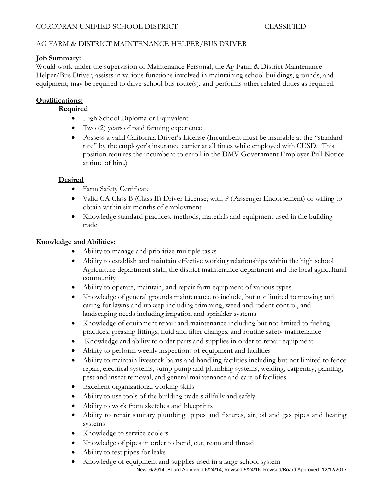# CORCORAN UNIFIED SCHOOL DISTRICT CLASSIFIED

# AG FARM & DISTRICT MAINTENANCE HELPER/BUS DRIVER

## **Job Summary:**

Would work under the supervision of Maintenance Personal, the Ag Farm & District Maintenance Helper/Bus Driver, assists in various functions involved in maintaining school buildings, grounds, and equipment; may be required to drive school bus route(s), and performs other related duties as required.

## **Qualifications:**

## **Required**

- High School Diploma or Equivalent
- Two (2) years of paid farming experience
- Possess a valid California Driver's License (Incumbent must be insurable at the "standard rate" by the employer's insurance carrier at all times while employed with CUSD. This position requires the incumbent to enroll in the DMV Government Employer Pull Notice at time of hire.)

## **Desired**

- Farm Safety Certificate
- Valid CA Class B (Class II) Driver License; with P (Passenger Endorsement) or willing to obtain within six months of employment
- Knowledge standard practices, methods, materials and equipment used in the building trade

## **Knowledge and Abilities:**

- Ability to manage and prioritize multiple tasks
- Ability to establish and maintain effective working relationships within the high school Agriculture department staff, the district maintenance department and the local agricultural community
- Ability to operate, maintain, and repair farm equipment of various types
- Knowledge of general grounds maintenance to include, but not limited to mowing and caring for lawns and upkeep including trimming, weed and rodent control, and landscaping needs including irrigation and sprinkler systems
- Knowledge of equipment repair and maintenance including but not limited to fueling practices, greasing fittings, fluid and filter changes, and routine safety maintenance
- Knowledge and ability to order parts and supplies in order to repair equipment
- Ability to perform weekly inspections of equipment and facilities
- Ability to maintain livestock barns and handling facilities including but not limited to fence repair, electrical systems, sump pump and plumbing systems, welding, carpentry, painting, pest and insect removal, and general maintenance and care of facilities
- Excellent organizational working skills
- Ability to use tools of the building trade skillfully and safely
- Ability to work from sketches and blueprints
- Ability to repair sanitary plumbing pipes and fixtures, air, oil and gas pipes and heating systems
- Knowledge to service coolers
- Knowledge of pipes in order to bend, cut, ream and thread
- Ability to test pipes for leaks
- New: 6/2014; Board Approved 6/24/14; Revised 5/24/16; Revised/Board Approved: 12/12/2017 • Knowledge of equipment and supplies used in a large school system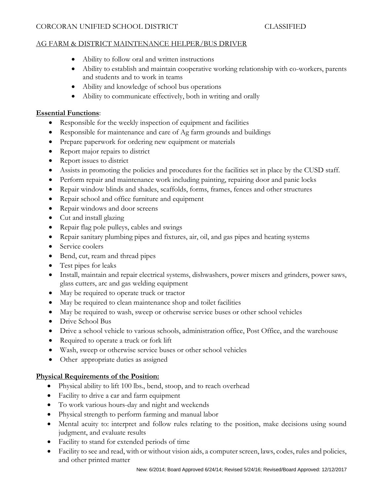## CORCORAN UNIFIED SCHOOL DISTRICT CLASSIFIED

## AG FARM & DISTRICT MAINTENANCE HELPER/BUS DRIVER

- Ability to follow oral and written instructions
- Ability to establish and maintain cooperative working relationship with co-workers, parents and students and to work in teams
- Ability and knowledge of school bus operations
- Ability to communicate effectively, both in writing and orally

## **Essential Functions**:

- Responsible for the weekly inspection of equipment and facilities
- Responsible for maintenance and care of Ag farm grounds and buildings
- Prepare paperwork for ordering new equipment or materials
- Report major repairs to district
- Report issues to district
- Assists in promoting the policies and procedures for the facilities set in place by the CUSD staff.
- Perform repair and maintenance work including painting, repairing door and panic locks
- Repair window blinds and shades, scaffolds, forms, frames, fences and other structures
- Repair school and office furniture and equipment
- Repair windows and door screens
- Cut and install glazing
- Repair flag pole pulleys, cables and swings
- Repair sanitary plumbing pipes and fixtures, air, oil, and gas pipes and heating systems
- Service coolers
- Bend, cut, ream and thread pipes
- Test pipes for leaks
- Install, maintain and repair electrical systems, dishwashers, power mixers and grinders, power saws, glass cutters, arc and gas welding equipment
- May be required to operate truck or tractor
- May be required to clean maintenance shop and toilet facilities
- May be required to wash, sweep or otherwise service buses or other school vehicles
- Drive School Bus
- Drive a school vehicle to various schools, administration office, Post Office, and the warehouse
- Required to operate a truck or fork lift
- Wash, sweep or otherwise service buses or other school vehicles
- Other appropriate duties as assigned

## **Physical Requirements of the Position:**

- Physical ability to lift 100 lbs., bend, stoop, and to reach overhead
- Facility to drive a car and farm equipment
- To work various hours-day and night and weekends
- Physical strength to perform farming and manual labor
- Mental acuity to: interpret and follow rules relating to the position, make decisions using sound judgment, and evaluate results
- Facility to stand for extended periods of time
- Facility to see and read, with or without vision aids, a computer screen, laws, codes, rules and policies, and other printed matter